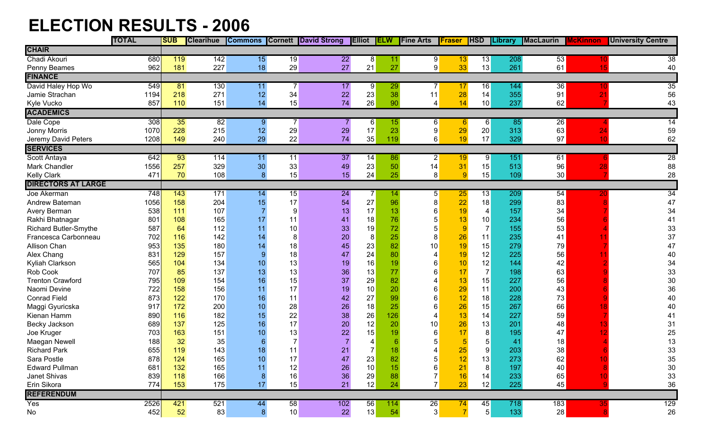## **ELECTION RESULTS - 2006**

|                              | <b>TOTAL</b> | <b>SUB</b> | <b>Clearihue</b> |                |                 | Commons Cornett David Strong Elliot ELW |                |     | <b>Fine Arts</b> | Fraser           | <b>HSD</b>     | <b>Library</b> | <b>MacLaurin</b> | <b>McKinnon</b> | <b>University Centre</b> |
|------------------------------|--------------|------------|------------------|----------------|-----------------|-----------------------------------------|----------------|-----|------------------|------------------|----------------|----------------|------------------|-----------------|--------------------------|
| <b>CHAIR</b>                 |              |            |                  |                |                 |                                         |                |     |                  |                  |                |                |                  |                 |                          |
| Chadi Akouri                 | 680          | 119        | 142              | 15             | $\overline{19}$ | 22                                      | 8              | 11  | 9                | 13 <sub>2</sub>  | 13             | 208            | 53               |                 | 38                       |
| Penny Beames                 | 962          | 181        | 227              | 18             | 29              | 27                                      | 21             | 27  | 9                | 33               | 13             | 261            | 61               | 15              | 40                       |
| <b>FINANCE</b>               |              |            |                  |                |                 |                                         |                |     |                  |                  |                |                |                  |                 |                          |
| David Haley Hop Wo           | 549          | 81         | 130              | 11             | 7               | 17                                      | 9              | 29  |                  | 17               | 16             | 144            | 36               |                 | 35                       |
| Jamie Strachan               | 1194         | 218        | 271              | 12             | 34              | 22                                      | 23             | 38  | 11               | 28               | 14             | 355            | 91               | 21              | 56                       |
| Kyle Vucko                   | 857          | 110        | 151              | 14             | 15              | 74                                      | 26             | 90  | 4                | 14               | 10             | 237            | 62               |                 | 43                       |
| <b>ACADEMICS</b>             |              |            |                  |                |                 |                                         |                |     |                  |                  |                |                |                  |                 |                          |
| Dale Cope                    | 308          | 35         | 82               | 9              |                 |                                         | 6              | 15  | $6 \mid$         | $6 \overline{6}$ | 6              | 85             | 26               |                 | 14                       |
| Jonny Morris                 | 1070         | 228        | 215              | 12             | 29              | 29                                      | 17             | 23  | $\boldsymbol{9}$ | 29               | 20             | 313            | 63               | 24              | 59                       |
| Jeremy David Peters          | 1208         | 149        | 240              | 29             | 22              | 74                                      | 35             | 119 | $6\vert$         | 19               | 17             | 329            | 97               | 10              | 62                       |
| <b>SERVICES</b>              |              |            |                  |                |                 |                                         |                |     |                  |                  |                |                |                  |                 |                          |
| Scott Antaya                 | 642          | 93         | 114              | 11             | 11              | 37                                      | 14             | 86  | $\mathbf{2}$     | 19               | 9              | 151            | 61               |                 | $\overline{28}$          |
| Mark Chandler                | 1556         | 257        | 329              | 30             | 33              | 49                                      | 23             | 50  | 14               | 31               | 15             | 513            | 96               | 28              | 88                       |
| <b>Kelly Clark</b>           | 471          | 70         | 108              | 8 <sup>°</sup> | 15              | 15                                      | 24             | 25  | 8                | 9                | 15             | 109            | 30               |                 | 28                       |
| <b>DIRECTORS AT LARGE</b>    |              |            |                  |                |                 |                                         |                |     |                  |                  |                |                |                  |                 |                          |
| Joe Akerman                  | 748          | 143        | 171              | 14             | 15              | 24                                      | 7              | 14. | 5 <sup>1</sup>   | 25               | 13             | 209            | 54               |                 | 34                       |
| Andrew Bateman               | 1056         | 158        | 204              | 15             | 17              | 54                                      | 27             | 96  | 8                | 22               | 18             | 299            | 83               |                 | 47                       |
| Avery Berman                 | 538          | 111        | 107              |                | 9               | 13                                      | 17             | 13  | 6                | 19               | $\overline{4}$ | 157            | 34               |                 | 34                       |
| Rakhi Bhatnagar              | 801          | 108        | 165              | 17             | 11              | 41                                      | 18             | 76  | 5                | 13               | 10             | 234            | 56               |                 | 41                       |
| <b>Richard Butler-Smythe</b> | 587          | 64         | 112              | 11             | 10              | 33                                      | 19             | 72  | 5                | $\overline{9}$   | $\overline{7}$ | 155            | 53               |                 | 33                       |
| Francesca Carbonneau         | 702          | 116        | 142              | 14             | 8               | 20                                      | $\bf 8$        | 25  | 8                | 26               | 11             | 235            | 41               |                 | 37                       |
| Allison Chan                 | 953          | 135        | 180              | 14             | 18              | 45                                      | 23             | 82  | 10               | 19               | 15             | 279            | 79               |                 | 47                       |
| Alex Chang                   | 831          | 129        | 157              | 9              | 18              | 47                                      | 24             | 80  |                  | 19               | 12             | 225            | 56               |                 | 40                       |
| Kyliah Clarkson              | 565          | 104        | 134              | 10             | 13              | 19                                      | 16             | 19  |                  | 10               | 12             | 144            | 42               |                 | 34                       |
| Rob Cook                     | 707          | 85         | 137              | 13             | 13              | 36                                      | 13             | 77  |                  | 17               | $\overline{7}$ | 198            | 63               |                 | 33                       |
| <b>Trenton Crawford</b>      | 795          | 109        | 154              | 16             | 15              | 37                                      | 29             | 82  |                  | 13               | 15             | 227            | 56               |                 | 30                       |
| Naomi Devine                 | 722          | 158        | 156              | 11             | 17              | 19                                      | 10             | 20  | 6                | 29               | 11             | 200            | 43               |                 | 36                       |
| <b>Conrad Field</b>          | 873          | 122        | 170              | 16             | 11              | 42                                      | 27             | 99  | 6                | 12               | 18             | 228            | 73               |                 | 40                       |
| Maggi Gyuricska              | 917          | 172        | 200              | 10             | 28              | 26                                      | 18             | 25  | 6                | 26               | 15             | 267            | 66               |                 | 40                       |
| Kienan Hamm                  | 890          | 116        | 182              | 15             | 22              | 38                                      | 26             | 126 |                  | 13               | 14             | 227            | 59               |                 | 41                       |
| Becky Jackson                | 689          | 137        | 125              | 16             | 17              | 20                                      | 12             | 20  | 10               | 26               | 13             | 201            | 48               |                 | 31                       |
| Joe Kruger                   | 703          | 163        | 151              | 10             | 13              | 22                                      | 15             | 19  | 6                | 17               | 8              | 195            | 47               |                 | 25                       |
| Maegan Newell                | 188          | 32         | 35               | 6              |                 |                                         |                |     | 5                | 5                | 5              | 41             | 18               |                 | 13                       |
| <b>Richard Park</b>          | 655          | 119        | 143              | 18             | 11              | 21                                      | $\overline{7}$ | 18  |                  | 25               | 9              | 203            | 38               |                 | 33                       |
| Sara Postle                  | 878          | 124        | 165              | 10             | 17              | 47                                      | 23             | 82  | 5                | 12               | 13             | 273            | 62               |                 | 35                       |
| <b>Edward Pullman</b>        | 681          | 132        | 165              | 11             | 12              | 26                                      | 10             | 15  | 6                | 21               | 8              | 197            | 40               |                 | $30\,$                   |
| Janet Shivas                 | 839          | 118        | 166              | 8              | 16              | 36                                      | 29             | 88  | 7 <sup>1</sup>   | 16               | 14             | 233            | 65               | 10              | 33                       |
| Erin Sikora                  | 774          | 153        | 175              | 17             | 15              | 21                                      | 12             | 24  | $\overline{7}$   | 23               | 12             | 225            | 45               |                 | 36                       |
| <b>REFERENDUM</b>            |              |            |                  |                |                 |                                         |                |     |                  |                  |                |                |                  |                 |                          |
| Yes                          | 2526         | 421        | 521              | 44             | 58              | 102                                     | 56             | 114 | 26               | 74               | 45             | 718            | 183              | 35              | 129                      |
| No                           | 452          | 52         | 83               | $8\phantom{1}$ | 10              | 22                                      | 13             | 54  | 3                | $\overline{7}$   | 5              | 133            | 28               |                 | 26                       |